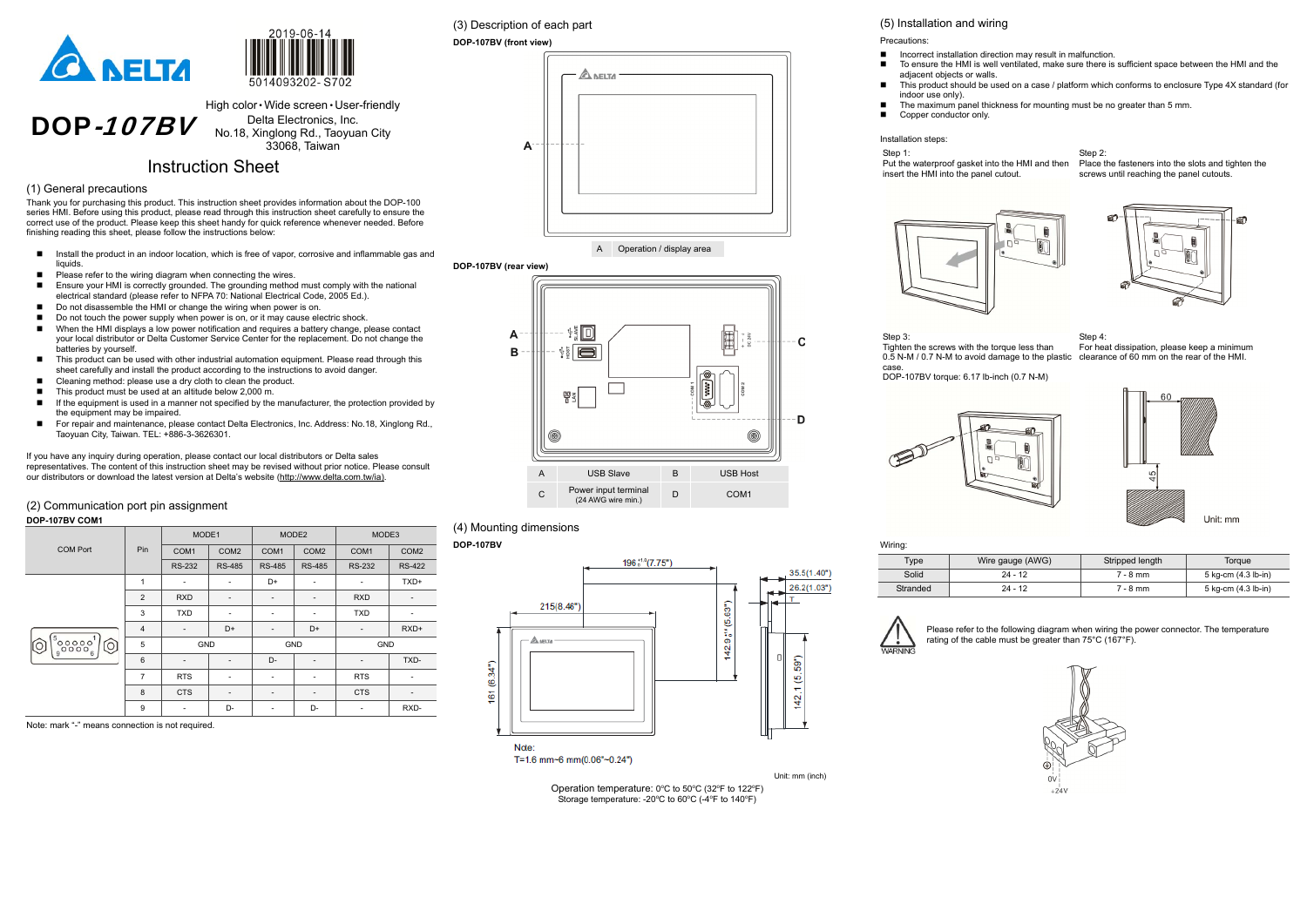



#### DOP-107BV High color • Wide screen • User-friendly Delta Electronics, Inc. No.18, Xinglong Rd., Taoyuan City 33068, Taiwan

## Instruction Sheet

#### (1) General precautions

Thank you for purchasing this product. This instruction sheet provides information about the DOP-100 series HMI. Before using this product, please read through this instruction sheet carefully to ensure the correct use of the product. Please keep this sheet handy for quick reference whenever needed. Before finishing reading this sheet, please follow the instructions below:

- Install the product in an indoor location, which is free of vapor, corrosive and inflammable gas and liquids.
- $\blacksquare$  Please refer to the wiring diagram when connecting the wires.
- Ensure your HMI is correctly grounded. The grounding method must comply with the national electrical standard (please refer to NFPA 70: National Electrical Code, 2005 Ed.).
- Do not disassemble the HMI or change the wiring when power is on.<br>■ Do not touch the nower supply when power is on or it may cause elected
- Do not touch the power supply when power is on, or it may cause electric shock.
- When the HMI displays a low power notification and requires a battery change, please contact your local distributor or Delta Customer Service Center for the replacement. Do not change the batteries by yourself.
- This product can be used with other industrial automation equipment. Please read through this sheet carefully and install the product according to the instructions to avoid danger.
- Cleaning method: please use a dry cloth to clean the product.
- $\blacksquare$  This product must be used at an altitude below 2,000 m.
- If the equipment is used in a manner not specified by the manufacturer, the protection provided by the equipment may be impaired.
- For repair and maintenance, please contact Delta Electronics, Inc. Address: No.18, Xinglong Rd., Taoyuan City, Taiwan. TEL: +886-3-3626301.

# (3) Description of each part **DOP-107BV (front view) A NELTA**  $\mathsf{A}$

- adjacent objects or walls.
- 
- indoor use only).
	- Copper conductor only.

Step 2: Place the fasteners into the slots and tighten the screws until reaching the panel cutouts.



If you have any inquiry during operation, please contact our local distributors or Delta sales representatives. The content of this instruction sheet may be revised without prior notice. Please consult our distributors or download the latest version at Delta's website (http://www.delta.com.tw/ia).

#### (2) Communication port pin assignment

#### **DOP-107BV COM1**

|                   |                | MODE1                    |                  | MODE <sub>2</sub>        |                          | MODE3                    |                  |
|-------------------|----------------|--------------------------|------------------|--------------------------|--------------------------|--------------------------|------------------|
| <b>COM Port</b>   | Pin            | COM <sub>1</sub>         | COM <sub>2</sub> | COM <sub>1</sub>         | COM <sub>2</sub>         | COM <sub>1</sub>         | COM <sub>2</sub> |
|                   |                | <b>RS-232</b>            | <b>RS-485</b>    | <b>RS-485</b>            | <b>RS-485</b>            | <b>RS-232</b>            | <b>RS-422</b>    |
|                   | $\mathbf{1}$   | $\overline{\phantom{a}}$ | ٠                | D+                       | $\overline{\phantom{a}}$ |                          | TXD+             |
|                   | $\overline{2}$ | <b>RXD</b>               | -                | -                        | $\overline{\phantom{a}}$ | <b>RXD</b>               |                  |
|                   | 3              | <b>TXD</b>               | ٠                | -                        | $\overline{\phantom{a}}$ | <b>TXD</b>               | ٠                |
|                   | $\overline{4}$ | $\overline{\phantom{a}}$ | D+               | -                        | D+                       | $\overline{\phantom{a}}$ | RXD+             |
| ၜၟၜၜၜၜၟ<br>$\cap$ | 5              | GND                      |                  | GND                      |                          | GND                      |                  |
|                   | $6\phantom{1}$ | $\overline{\phantom{a}}$ | -                | D-                       | $\overline{\phantom{a}}$ |                          | TXD-             |
|                   | $\overline{7}$ | <b>RTS</b>               | ٠                | -                        |                          | <b>RTS</b>               |                  |
|                   | 8              | <b>CTS</b>               | -                | $\overline{\phantom{a}}$ | $\overline{\phantom{a}}$ | <b>CTS</b>               |                  |
|                   | 9              | $\overline{\phantom{a}}$ | D-               |                          | D-                       |                          | RXD-             |

Note: mark "-" means connection is not required.

A

Operation / display area





#### (4) Mounting dimensions

#### **DOP-107BV**





■ Incorrect installation direction may result in malfunction.

# (5) Installation and wiring Precautions:

- To ensure the HMI is well ventilated, make sure there is sufficient space between the HMI and the
- This product should be used on a case / platform which conforms to enclosure Type 4X standard (for

The maximum panel thickness for mounting must be no greater than 5 mm.

Installation steps:

Step 1:

Put the waterproof gasket into the HMI and then insert the HMI into the panel cutout.



Step 3: Tighten the screws with the torque less than case. DOP-107BV torque: 6.17 lb-inch (0.7 N-M)



0.5 N-M / 0.7 N-M to avoid damage to the plastic clearance of 60 mm on the rear of the HMI. Step 4: For heat dissipation, please keep a minimum





| Wiring:  |                  |                 |                     |
|----------|------------------|-----------------|---------------------|
| Type     | Wire gauge (AWG) | Stripped length | Torgue              |
| Solid    | $24 - 12$        | $7 - 8$ mm      | 5 kg-cm (4.3 lb-in) |
| Stranded | $24 - 12$        | $7 - 8$ mm      | 5 kg-cm (4.3 lb-in) |

| Type     | Wire gauge (AWG) | Stripped length | <b>Toraue</b>       |
|----------|------------------|-----------------|---------------------|
| Solid    | $24 - 12$        | $7 - 8$ mm      | 5 kg-cm (4.3 lb-in) |
| Stranded | $24 - 12$        | $7 - 8$ mm      | 5 kg-cm (4.3 lb-in) |
|          |                  |                 |                     |



Note

T=1.6 mm~6 mm(0.06"~0.24")

Operation temperature:  $0^{\circ}$ C to  $50^{\circ}$ C (32 $^{\circ}$ F to 122 $^{\circ}$ F) Storage temperature: -20 $\degree$ C to 60 $\degree$ C (-4 $\degree$ F to 140 $\degree$ F)

Please refer to the following diagram when wiring the power connector. The temperature rating of the cable must be greater than 75°C (167°F).

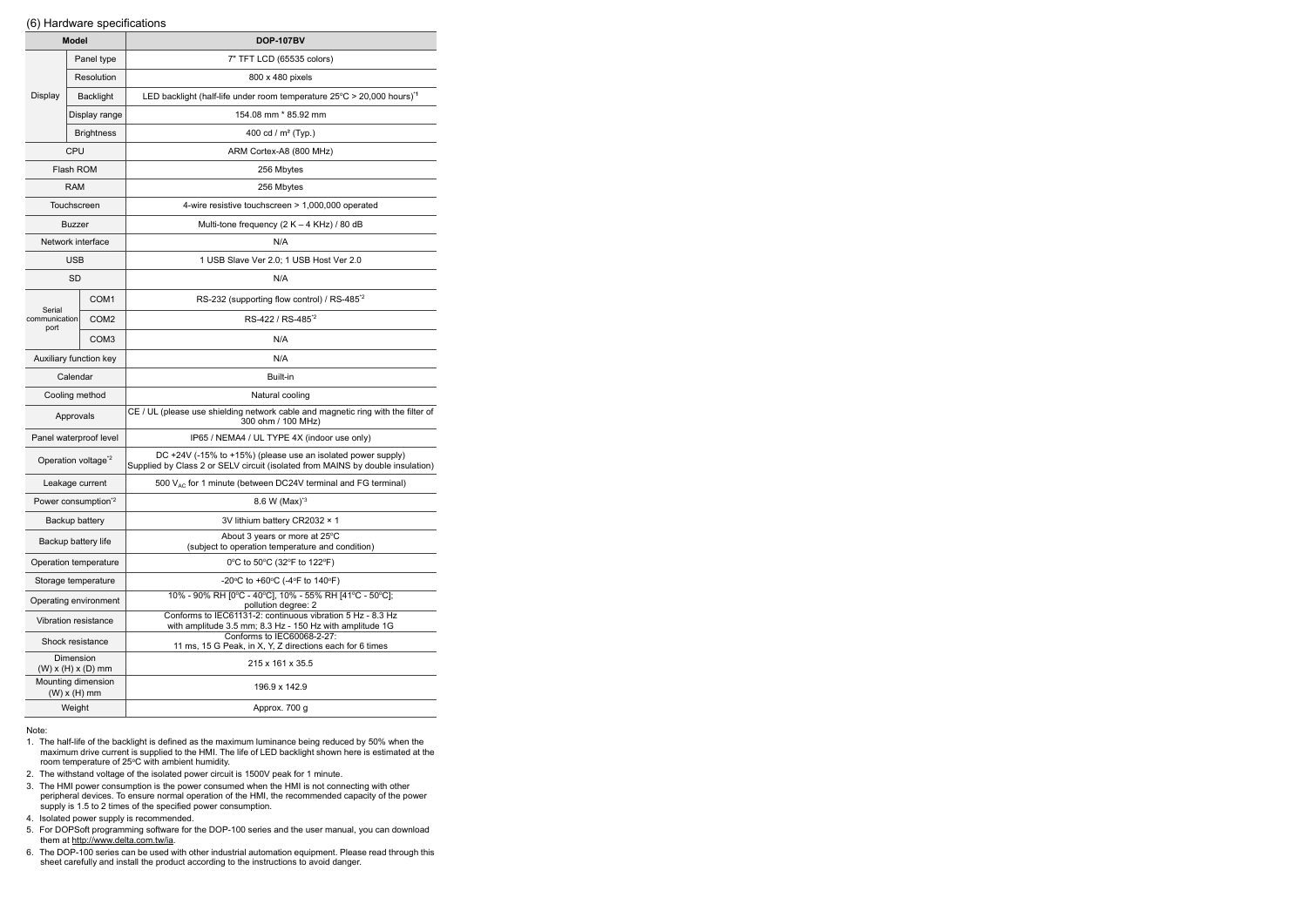#### (6) Hardware specifications

| <b>Model</b>            |                                                | <b>DOP-107BV</b>                                                                                                                               |  |  |  |  |
|-------------------------|------------------------------------------------|------------------------------------------------------------------------------------------------------------------------------------------------|--|--|--|--|
|                         | Panel type                                     | 7" TFT LCD (65535 colors)                                                                                                                      |  |  |  |  |
|                         | Resolution                                     | 800 x 480 pixels                                                                                                                               |  |  |  |  |
| Display                 | Backlight                                      | LED backlight (half-life under room temperature $25^{\circ}$ C > 20,000 hours) <sup>1</sup>                                                    |  |  |  |  |
|                         | Display range                                  | 154.08 mm * 85.92 mm                                                                                                                           |  |  |  |  |
|                         | <b>Brightness</b>                              | 400 cd / $m2$ (Typ.)                                                                                                                           |  |  |  |  |
|                         | <b>CPU</b>                                     | ARM Cortex-A8 (800 MHz)                                                                                                                        |  |  |  |  |
|                         | <b>Flash ROM</b>                               | 256 Mbytes                                                                                                                                     |  |  |  |  |
|                         | <b>RAM</b>                                     | 256 Mbytes                                                                                                                                     |  |  |  |  |
|                         | Touchscreen                                    | 4-wire resistive touchscreen > 1,000,000 operated                                                                                              |  |  |  |  |
|                         | <b>Buzzer</b>                                  | Multi-tone frequency $(2 K - 4 KHz) / 80 dB$                                                                                                   |  |  |  |  |
|                         | Network interface                              | N/A                                                                                                                                            |  |  |  |  |
|                         | <b>USB</b>                                     | 1 USB Slave Ver 2.0; 1 USB Host Ver 2.0                                                                                                        |  |  |  |  |
|                         | SD                                             | N/A                                                                                                                                            |  |  |  |  |
|                         | COM <sub>1</sub>                               | RS-232 (supporting flow control) / RS-485 <sup>*2</sup>                                                                                        |  |  |  |  |
| Serial<br>communication | COM <sub>2</sub>                               | RS-422 / RS-485 <sup>*2</sup>                                                                                                                  |  |  |  |  |
| port                    | COM <sub>3</sub>                               | N/A                                                                                                                                            |  |  |  |  |
|                         | Auxiliary function key                         | N/A                                                                                                                                            |  |  |  |  |
| Calendar                |                                                | Built-in                                                                                                                                       |  |  |  |  |
|                         | Cooling method                                 | Natural cooling                                                                                                                                |  |  |  |  |
|                         | Approvals                                      | CE / UL (please use shielding network cable and magnetic ring with the filter of<br>300 ohm / 100 MHz)                                         |  |  |  |  |
|                         | Panel waterproof level                         | IP65 / NEMA4 / UL TYPE 4X (indoor use only)                                                                                                    |  |  |  |  |
|                         | Operation voltage <sup>*2</sup>                | DC +24V (-15% to +15%) (please use an isolated power supply)<br>Supplied by Class 2 or SELV circuit (isolated from MAINS by double insulation) |  |  |  |  |
|                         | Leakage current                                | 500 VAC for 1 minute (between DC24V terminal and FG terminal)                                                                                  |  |  |  |  |
|                         | Power consumption <sup>*2</sup>                | 8.6 W (Max) <sup>*3</sup>                                                                                                                      |  |  |  |  |
|                         | Backup battery                                 | 3V lithium battery CR2032 × 1                                                                                                                  |  |  |  |  |
|                         | Backup battery life                            | About 3 years or more at 25°C<br>(subject to operation temperature and condition)                                                              |  |  |  |  |
|                         | Operation temperature                          | 0°C to 50°C (32°F to 122°F)                                                                                                                    |  |  |  |  |
| Storage temperature     |                                                | -20 °C to +60 °C (-4 °F to 140 °F)                                                                                                             |  |  |  |  |
| Operating environment   |                                                | 10% - 90% RH [0°C - 40°C], 10% - 55% RH [41°C - 50°C];<br>pollution degree: 2                                                                  |  |  |  |  |
|                         | <b>Vibration resistance</b>                    | Conforms to IEC61131-2: continuous vibration 5 Hz - 8.3 Hz<br>with amplitude 3.5 mm; 8.3 Hz - 150 Hz with amplitude 1G                         |  |  |  |  |
|                         | Shock resistance                               | Conforms to IEC60068-2-27:<br>11 ms, 15 G Peak, in X, Y, Z directions each for 6 times                                                         |  |  |  |  |
|                         | Dimension                                      | 215 x 161 x 35.5                                                                                                                               |  |  |  |  |
|                         | $(W)$ x $(H)$ x $(D)$ mm<br>Mounting dimension | 196.9 x 142.9                                                                                                                                  |  |  |  |  |
|                         | $(W)$ x $(H)$ mm<br>Weight                     | Approx. 700 g                                                                                                                                  |  |  |  |  |

#### Note:

- 1. The half-life of the backlight is defined as the maximum luminance being reduced by 50% when the maximum drive current is supplied to the HMI. The life of LED backlight shown here is estimated at the maximum drive current is supplied to the HMI. The life of LED backlight shown here is estimated at the room temperature of 25°C with ambient humidity.
- 2. The withstand voltage of the isolated power circuit is 1500V peak for 1 minute.
- 3. The HMI power consumption is the power consumed when the HMI is not connecting with other peripheral devices. To ensure normal operation of the HMI, the recommended capacity of the power supply is 1.5 to 2 times of the specified power consumption.
- 4. Isolated power supply is recommended.
- 5. For DOPSoft programming software for the DOP-100 series and the user manual, you can download them at http://www.delta.com.tw/ia.
- 6. The DOP-100 series can be used with other industrial automation equipment. Please read through this sheet carefully and install the product according to the instructions to avoid danger.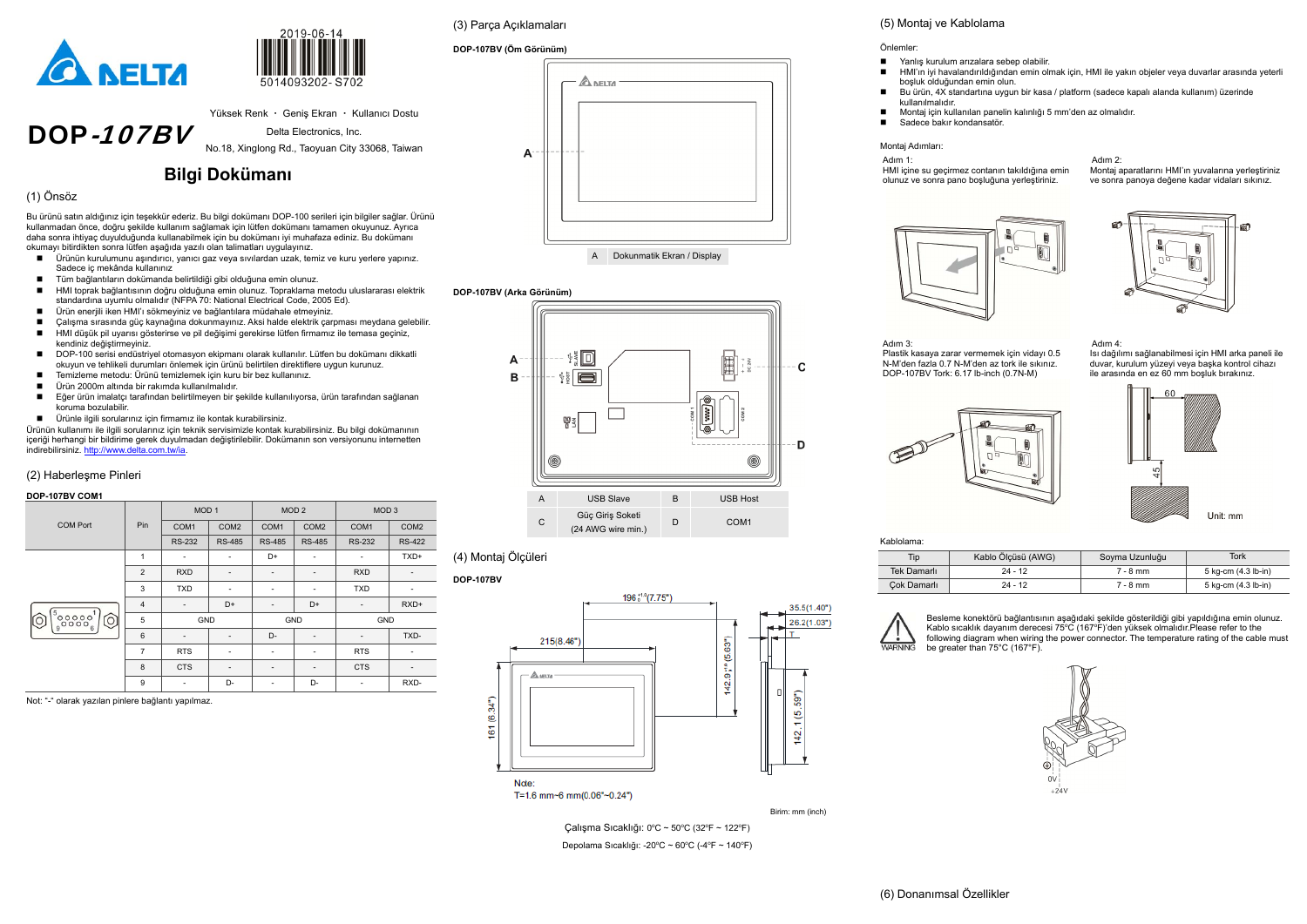DOP-107BV

#### Yüksek Renk · Geniş Ekran · Kullanıcı Dostu

 $2019-06-1$ 

Delta Electronics, Inc.

No.18, Xinglong Rd., Taoyuan City 33068, Taiwan

# **Bilgi Dokümanı**

### (1) Önsöz

- Ürünün kurulumunu aşındırıcı, yanıcı gaz veya sıvılardan uzak, temiz ve kuru yerlere yapınız. Sadece iç mekânda kullanınız
- Tüm bağlantıların dokümanda belirtildiği gibi olduğuna emin olunuz.
- HMI toprak bağlantısının doğru olduğuna emin olunuz. Topraklama metodu uluslararası elektrik standardına uyumlu olmalıdır (NFPA 70: National Electrical Code, 2005 Ed).
- Ürün enerjili iken HMI'ı sökmeyiniz ve bağlantılara müdahale etmeyiniz.
- Calişma sırasında güç kaynağına dokunmayınız. Aksi halde elektrik çarpması meydana gelebilir.<br>■ HMLdüsük pil uvarısı gösterirse ve pil değisimi gerekirse lütfen firmamız ile temasa geçiniz
- HMI düşük pil uyarısı gösterirse ve pil değişimi gerekirse lütfen firmamız ile temasa geçiniz, kendiniz değiştirmeyiniz.
- DOP-100 serisi endüstriyel otomasyon ekipmanı olarak kullanılır. Lütfen bu dokümanı dikkatli okuyun ve tehlikeli durumları önlemek için ürünü belirtilen direktiflere uygun kurunuz.
- Temizleme metodu: Ürünü temizlemek için kuru bir bez kullanınız.
- Ürün 2000m altında bir rakımda kullanılmalıdır.
- Eğer ürün imalatçı tarafından belirtilmeyen bir şekilde kullanılıyorsa, ürün tarafından sağlanan koruma bozulabilir.
- Ürünle ilgili sorularınız için firmamız ile kontak kurabilirsiniz.

Bu ürünü satın aldığınız için teşekkür ederiz. Bu bilgi dokümanı DOP-100 serileri için bilgiler sağlar. Ürünü kullanmadan önce, doğru şekilde kullanım sağlamak için lütfen dokümanı tamamen okuyunuz. Ayrıca daha sonra ihtiyaç duyulduğunda kullanabilmek için bu dokümanı iyi muhafaza ediniz. Bu dokümanı okumayı bitirdikten sonra lütfen aşağıda yazılı olan talimatları uygulayınız.

Ürünün kullanımı ile ilgili sorularınız için teknik servisimizle kontak kurabilirsiniz. Bu bilgi dokümanının içeriği herhangi bir bildirime gerek duyulmadan değiştirilebilir. Dokümanın son versiyonunu internetten indirebilirsiniz. http://www.delta.com.tw/ia.

- Yanlış kurulum arızalara sebep olabilir.
- boşluk olduğundan emin olun.
- kullanılmalıdır.
- 
- Sadece bakır kondansatör.

#### (2) Haberleşme Pinleri

#### **DOP-107BV COM1**

|                 |                | MOD <sub>1</sub>         |                          | MOD <sub>2</sub>         |                          | MOD <sub>3</sub>         |                          |
|-----------------|----------------|--------------------------|--------------------------|--------------------------|--------------------------|--------------------------|--------------------------|
| <b>COM Port</b> | Pin            | COM <sub>1</sub>         | COM <sub>2</sub>         | COM1                     | COM <sub>2</sub>         | COM <sub>1</sub>         | COM <sub>2</sub>         |
|                 |                | <b>RS-232</b>            | <b>RS-485</b>            | <b>RS-485</b>            | <b>RS-485</b>            | <b>RS-232</b>            | <b>RS-422</b>            |
|                 | 1              | $\overline{\phantom{a}}$ | ۰                        | D+                       | $\overline{\phantom{0}}$ | $\overline{\phantom{a}}$ | TXD+                     |
|                 | 2              | <b>RXD</b>               | -                        | $\overline{\phantom{a}}$ |                          | <b>RXD</b>               | $\overline{\phantom{a}}$ |
|                 | 3              | <b>TXD</b>               | -                        | $\overline{\phantom{a}}$ |                          | <b>TXD</b>               | $\overline{\phantom{a}}$ |
|                 | $\overline{4}$ | $\overline{\phantom{a}}$ | D+                       | $\overline{\phantom{a}}$ | D+                       | $\overline{\phantom{a}}$ | RXD+                     |
| ိ၀၀၀၀၀ န်<br>Ô  | 5              | <b>GND</b>               |                          | <b>GND</b>               |                          | GND                      |                          |
|                 | $6\phantom{1}$ | $\overline{\phantom{a}}$ | -                        | D-                       |                          |                          | TXD-                     |
|                 | $\overline{7}$ | <b>RTS</b>               | $\overline{\phantom{a}}$ | $\overline{\phantom{a}}$ | -                        | <b>RTS</b>               | $\overline{\phantom{a}}$ |
|                 | 8              | <b>CTS</b>               | -                        | $\overline{\phantom{a}}$ |                          | <b>CTS</b>               | $\overline{\phantom{a}}$ |
|                 | 9              | $\overline{\phantom{a}}$ | D-                       | ٠                        | D-                       |                          | RXD-                     |

Not: "-" olarak yazılan pinlere bağlantı yapılmaz.

T=1.6 mm~6 mm(0.06"~0.24")

### (3) Parça Açıklamaları

#### **DOP-107BV (Öm Görünüm)**





#### **DOP-107BV (Arka Görünüm)**



D COM1



(4) Montaj Ölçüleri

**DOP-107BV** 



Birim: mm (inch)

Çalışma Sıcaklığı: 0°C ~ 50°C (32°F ~ 122°F) Depolama Sıcaklığı: -20°C ~ 60°C (-4°F ~ 140°F)





#### Önlemler:

- HMI'ın iyi havalandırıldığından emin olmak için, HMI ile yakın objeler veya duvarlar arasında yeterli
- Bu ürün, 4X standartına uygun bir kasa / platform (sadece kapalı alanda kullanım) üzerinde
- Montaj için kullanılan panelin kalınlığı 5 mm'den az olmalıdır.

#### Montaj Adımları:

Adım 1: HMI içine su geçirmez contanın takıldığına emin



olunuz ve sonra pano boşluğuna yerleştiriniz.



Adım 2: Montaj aparatlarını HMI'ın yuvalarına yerleştiriniz ve sonra panoya değene kadar vidaları sıkınız.







Adım 4:

 Isı dağılımı sağlanabilmesi için HMI arka paneli ile duvar, kurulum yüzeyi veya başka kontrol cihazı ile arasında en ez 60 mm boşluk bırakınız.





| Kablolama: |  |
|------------|--|
|            |  |

| Tip         | Kablo Ölçüsü (AWG) | Soyma Uzunluğu | Tork                |
|-------------|--------------------|----------------|---------------------|
| Tek Damarlı | 24 - 12            | 7 - 8 mm       | 5 kg-cm (4.3 lb-in) |
| Cok Damarlı | 24 - 12            | 7 - 8 mm       | 5 kg-cm (4.3 lb-in) |



Besleme konektörü bağlantısının aşağıdaki şekilde gösterildiği gibi yapıldığına emin olunuz. Kablo sıcaklık dayanım derecesi  $75^{\circ}$ C (167 $^{\circ}$ F)'den yüksek olmalıdır. Please refer to the following diagram when wiring the power connector. The temperature rating of the cable must be greater than 75°C (167°F).

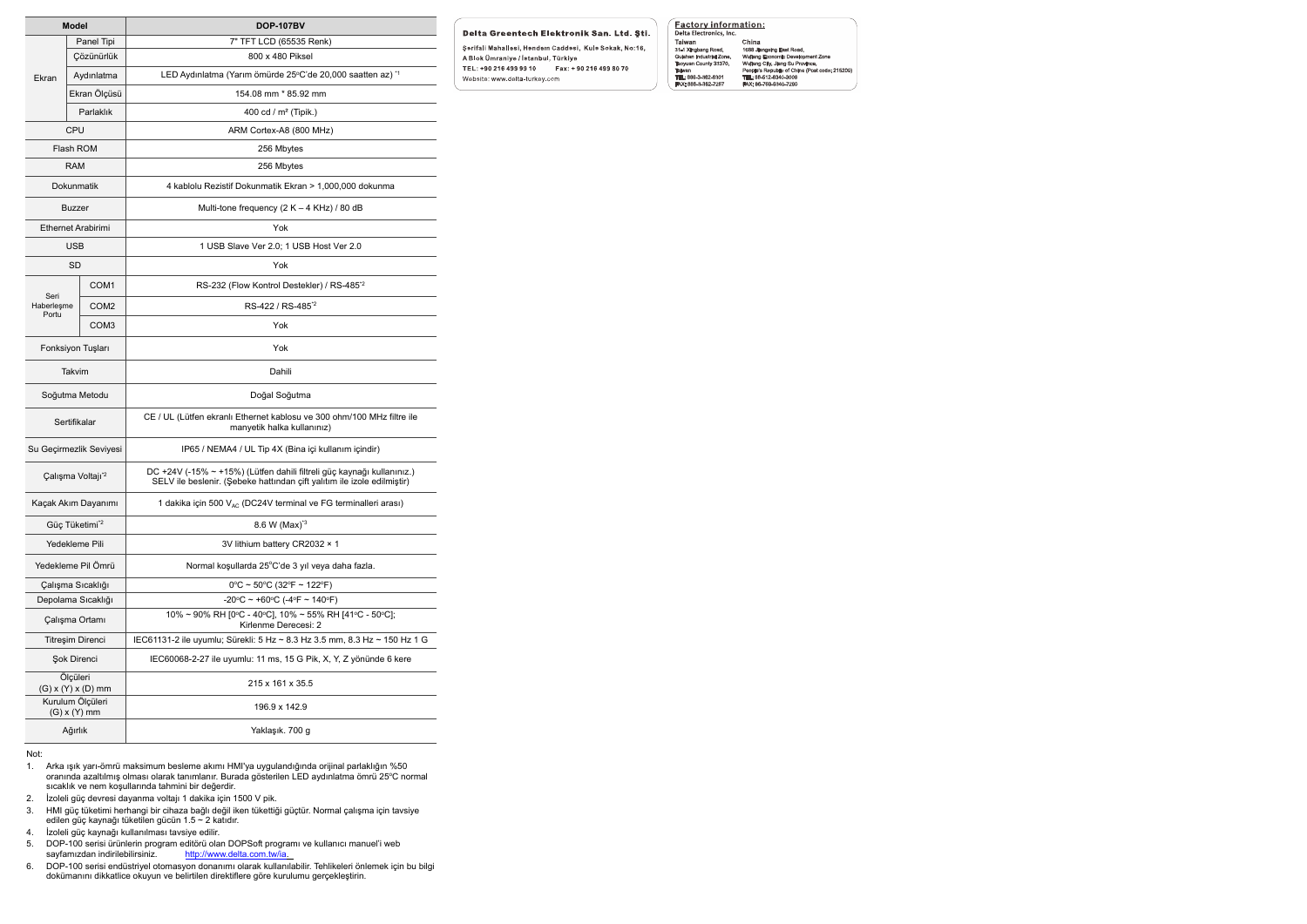| <b>Model</b>                |                                      | <b>DOP-107BV</b>                                                                                                                                  |  |  |  |  |
|-----------------------------|--------------------------------------|---------------------------------------------------------------------------------------------------------------------------------------------------|--|--|--|--|
|                             | Panel Tipi                           | 7" TFT LCD (65535 Renk)                                                                                                                           |  |  |  |  |
|                             | Çözünürlük                           | 800 x 480 Piksel                                                                                                                                  |  |  |  |  |
| Ekran                       | Aydınlatma                           | LED Aydınlatma (Yarım ömürde 25°C'de 20,000 saatten az) <sup>*1</sup>                                                                             |  |  |  |  |
|                             | Ekran Ölçüsü                         | 154.08 mm * 85.92 mm                                                                                                                              |  |  |  |  |
|                             | Parlaklık                            | 400 cd / m <sup>2</sup> (Tipik.)                                                                                                                  |  |  |  |  |
|                             | <b>CPU</b>                           | ARM Cortex-A8 (800 MHz)                                                                                                                           |  |  |  |  |
|                             | Flash ROM                            | 256 Mbytes                                                                                                                                        |  |  |  |  |
|                             | RAM                                  | 256 Mbytes                                                                                                                                        |  |  |  |  |
|                             | <b>Dokunmatik</b>                    | 4 kablolu Rezistif Dokunmatik Ekran > 1,000,000 dokunma                                                                                           |  |  |  |  |
|                             | Buzzer                               | Multi-tone frequency (2 K - 4 KHz) / 80 dB                                                                                                        |  |  |  |  |
|                             | Ethernet Arabirimi                   | Yok                                                                                                                                               |  |  |  |  |
|                             | <b>USB</b>                           | 1 USB Slave Ver 2.0; 1 USB Host Ver 2.0                                                                                                           |  |  |  |  |
|                             | <b>SD</b>                            | Yok                                                                                                                                               |  |  |  |  |
|                             | COM <sub>1</sub>                     | RS-232 (Flow Kontrol Destekler) / RS-485 <sup>*2</sup>                                                                                            |  |  |  |  |
| Seri<br>Haberleşme<br>Portu | COM <sub>2</sub>                     | RS-422 / RS-485 <sup>*2</sup>                                                                                                                     |  |  |  |  |
|                             | COM <sub>3</sub>                     | Yok                                                                                                                                               |  |  |  |  |
| Fonksiyon Tuşları           |                                      | Yok                                                                                                                                               |  |  |  |  |
|                             | Takvim                               | Dahili                                                                                                                                            |  |  |  |  |
|                             | Soğutma Metodu                       | Doğal Soğutma                                                                                                                                     |  |  |  |  |
|                             | Sertifikalar                         | CE / UL (Lütfen ekranlı Ethernet kablosu ve 300 ohm/100 MHz filtre ile<br>manyetik halka kullanınız)                                              |  |  |  |  |
|                             | Su Geçirmezlik Seviyesi              | IP65 / NEMA4 / UL Tip 4X (Bina içi kullanım içindir)                                                                                              |  |  |  |  |
|                             | Çalışma Voltajı <sup>*2</sup>        | DC +24V (-15% ~ +15%) (Lütfen dahili filtreli güç kaynağı kullanınız.)<br>SELV ile beslenir. (Şebeke hattından çift yalıtım ile izole edilmiştir) |  |  |  |  |
|                             | Kacak Akım Dayanımı                  | 1 dakika için 500 V <sub>AC</sub> (DC24V terminal ve FG terminalleri arası)                                                                       |  |  |  |  |
|                             | Güç Tüketimi <sup>*2</sup>           | 8.6 W (Max) <sup>*3</sup>                                                                                                                         |  |  |  |  |
|                             | Yedekleme Pili                       | 3V lithium battery CR2032 × 1                                                                                                                     |  |  |  |  |
|                             | Yedekleme Pil Ömrü                   | Normal koşullarda 25°C'de 3 yıl veya daha fazla.                                                                                                  |  |  |  |  |
|                             | Çalışma Sıcaklığı                    | $0^{\circ}$ C ~ 50°C (32°F ~ 122°F)                                                                                                               |  |  |  |  |
|                             | Depolama Sıcaklığı                   | -20°C ~ +60°C (-4°F ~ 140°F)                                                                                                                      |  |  |  |  |
| Çalışma Ortamı              |                                      | 10% ~ 90% RH [0°C - 40°C], 10% ~ 55% RH [41°C - 50°C];<br>Kirlenme Derecesi: 2                                                                    |  |  |  |  |
|                             | Titreşim Direnci                     | IEC61131-2 ile uyumlu; Sürekli: 5 Hz ~ 8.3 Hz 3.5 mm, 8.3 Hz ~ 150 Hz 1 G                                                                         |  |  |  |  |
|                             | Şok Direnci                          | IEC60068-2-27 ile uyumlu: 11 ms, 15 G Pik, X, Y, Z yönünde 6 kere                                                                                 |  |  |  |  |
|                             | Ölçüleri<br>(G) x (Y) x (D) mm       | 215 x 161 x 35.5                                                                                                                                  |  |  |  |  |
|                             | Kurulum Ölçüleri<br>$(G)$ x $(Y)$ mm | 196.9 x 142.9                                                                                                                                     |  |  |  |  |
| Ağırlık                     |                                      | Yaklaşık. 700 g                                                                                                                                   |  |  |  |  |

#### Not:

- 1. Arka ışık yarı-ömrü maksimum besleme akımı HMI'ya uygulandığında orijinal parlaklığın %50 oranında azaltılmış olması olarak tanımlanır. Burada gösterilen LED aydınlatma ömrü 25°C normal sıcaklık ve nem koşullarında tahmini bir değerdir.
- 2. İzoleli güç devresi dayanma voltajı 1 dakika için 1500 V pik.
- 3. HMI güç tüketimi herhangi bir cihaza bağlı değil iken tükettiği güçtür. Normal çalışma için tavsiye edilen güç kaynağı tüketilen gücün 1.5 ~ 2 katıdır.
- 4. İzoleli güç kaynağı kullanılması tavsiye edilir.
- 5. DOP-100 serisi ürünlerin program editörü olan DOPSoft programı ve kullanıcı manuel'i web sayfamızdan indirilebilirsiniz. <u>http://www.delta.com.tw/ia.</u>
- 6. DOP-100 serisi endüstriyel otomasyon donanımı olarak kullanılabilir. Tehlikeleri önlemek için bu bilgi dokümanını dikkatlice okuyun ve belirtilen direktiflere göre kurulumu gerçekleştirin.

#### Delta Greentech Elektronik San. Ltd. Ști.

Şerifali Mahallesi, Hendem Caddesi, Kule Sokak, No:16, A Blok Ümraniye / İstanbul, Türkiye TEL: +90 216 499 99 10 Fax: + 90 216 499 80 70 Website: www.delta-turkey.com

# **Factory information:**<br>Delta Electronics, Inc.

Detra Electronics, inc.<br>Taiwan<br>31-1 Xingbang Road,<br>Guishan Industrial Zone,<br>Taywan County 33370,<br>TEL: 886-3-362-6301<br>FAX: 886-3-362-7267 China China<br>1888 Jiangxing East Road,<br>Wujlang Economic Development Zone<br>Wujlang City, Jiang Su Province,<br>Pople's Republic of China (Post code: 215<br>TEL: 86-512-6340-7008<br>FAX: 86-769-6340-7290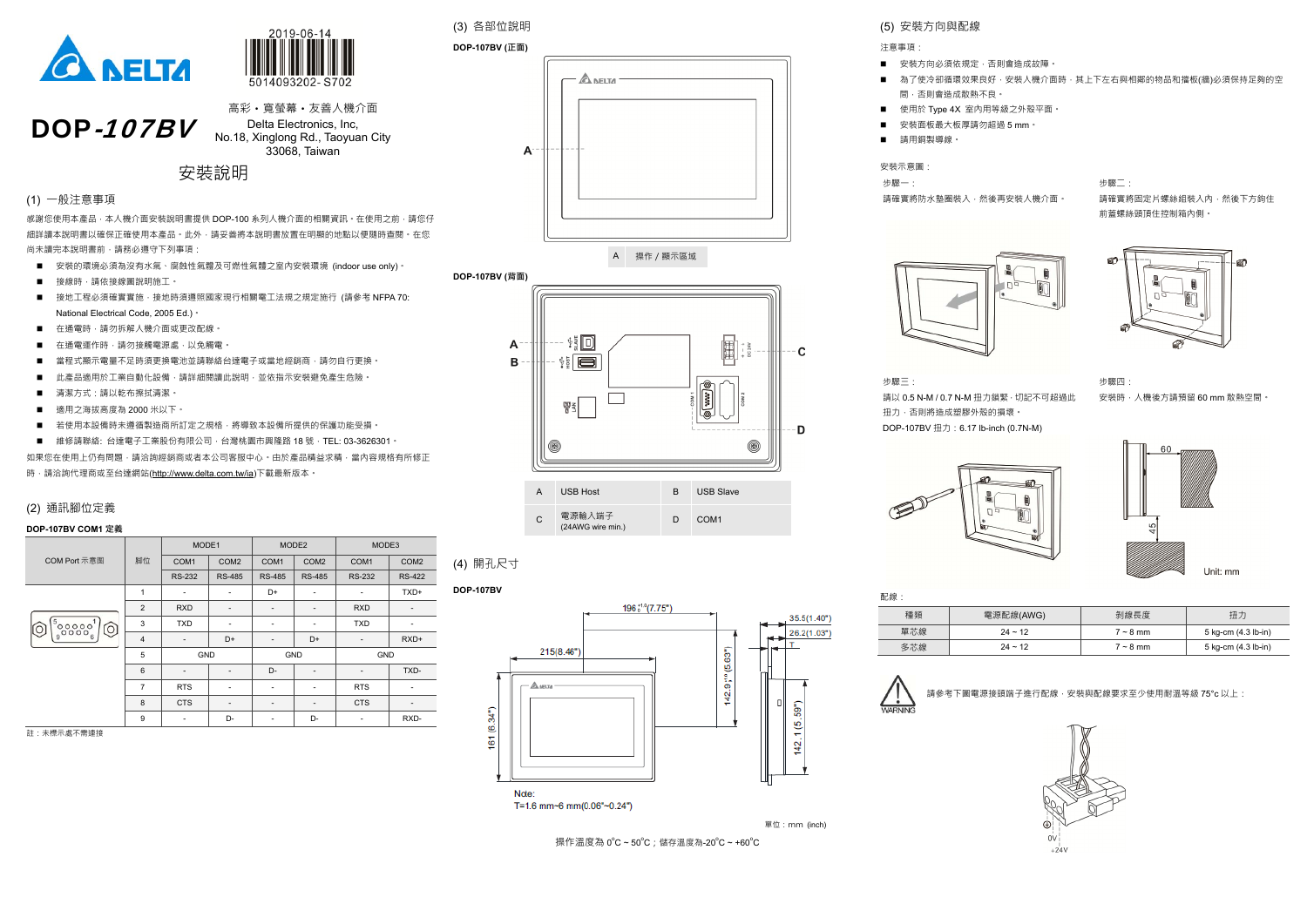

DOP-107BV



高彩·寬螢幕·友善人機介面 Delta Electronics, Inc, No.18, Xinglong Rd., Taoyuan City 33068, Taiwan

安裝說明

#### (1) ⼀般注意事項

感謝您使用本產品 · 本人機介面安裝說明書提供 DOP-100 系列人機介面的相關資訊 · 在使用之前 · 請您仔 細詳讀本說明書以確保正確使用本產品。此外,請妥善將本說明書放置在明顯的地點以便隨時查閱。在您 尚未讀完本說明書前,請務必遵守下列事項:

- 安裝的環境必須為沒有水氣、腐蝕性氣體及可燃性氣體之室內安裝環境 (indoor use only) 。
- 接線時﹐請依接線圖說明施工。
- 接地工程必須確實實施 · 接地時須遵照國家現行相關電工法規之規定施行 (請參考 NFPA 70: National Electrical Code, 2005 Ed.)。
- 在通電時‧請勿拆解人機介面或更改配線。
- $\blacksquare$ 在通電運作時,請勿接觸電源處,以免觸電。
- $\blacksquare$ 當程式顯示電量不足時須更換電池並請聯絡台達電子或當地經銷商,請勿自行更換。
- $\blacksquare$ ■ 此產品適用於工業自動化設備﹐請詳細閱讀此說明﹐並依指示安裝避免產生危險。
- 清潔方式 : 請以乾布擦拭清潔。
- $\blacksquare$ ■ 適用之海拔高度為 2000 米以下。
- 若使用本設備時未遵循製造商所訂定之規格﹐將導致本設備所提供的保護功能受損。
- 維修請聯絡: 台達電子工業股份有限公司 · 台灣桃園市興隆路 18 號 · TEL: 03-3626301 ·

如果您在使用上仍有問題,請洽詢經銷商或者本公司客服中心。由於產品精益求精,當內容規格有所修正 時,請洽詢代理商或至台達網站(http://www.delta.com.tw/ia)下載最新版本。

**DOP-107BV (正面) A NELTA**  $\mathsf{A}$ 

請確實將固定片螺絲組裝入內,然後下方鉤住 前蓋螺絲頭頂住控制箱內側。

砳





- 
- 



#### (2) 通訊腳位定義

#### **DOP-107BV COM1 定義**

|                                              |                | MODE1                    |                          | MODE <sub>2</sub>        |                  | MODE3                    |                  |
|----------------------------------------------|----------------|--------------------------|--------------------------|--------------------------|------------------|--------------------------|------------------|
| COM Port 示意图                                 | 脚位             | COM <sub>1</sub>         | COM <sub>2</sub>         | COM <sub>1</sub>         | COM <sub>2</sub> | COM <sub>1</sub>         | COM <sub>2</sub> |
|                                              |                | <b>RS-232</b>            | <b>RS-485</b>            | <b>RS-485</b>            | <b>RS-485</b>    | <b>RS-232</b>            | <b>RS-422</b>    |
|                                              | 1              | $\overline{\phantom{a}}$ | $\overline{\phantom{a}}$ | D+                       |                  | ۰                        | TXD+             |
|                                              | $\overline{2}$ | <b>RXD</b>               | -                        | -                        |                  | <b>RXD</b>               |                  |
| $\frac{1}{6}$ 00000 $\frac{1}{6}$<br>$\circ$ | 3              | <b>TXD</b>               | $\overline{\phantom{a}}$ | ٠                        |                  | <b>TXD</b>               | ۰                |
|                                              | $\overline{4}$ | $\overline{\phantom{a}}$ | D+                       | $\overline{\phantom{a}}$ | D+               | $\overline{\phantom{a}}$ | RXD+             |
|                                              | 5              | GND                      |                          | GND                      |                  | GND                      |                  |
|                                              | 6              | $\overline{\phantom{a}}$ | $\overline{\phantom{a}}$ | D-                       |                  |                          | TXD-             |
|                                              | 7              | <b>RTS</b>               | $\overline{\phantom{a}}$ | ٠                        |                  | <b>RTS</b>               |                  |
|                                              | 8              | <b>CTS</b>               | $\overline{\phantom{a}}$ | -                        |                  | <b>CTS</b>               | -                |
|                                              | 9              | $\overline{\phantom{a}}$ | D-                       | ٠                        | D-               | $\overline{\phantom{a}}$ | RXD-             |

註:未標示處不需連接

(3) 各部位說明

A 操作/顯示區域



(4) 開孔尺寸

#### **DOP-107BV**



T=1.6 mm~6 mm(0.06"~0.24")

單位:mm (inch)

操作溫度為 0℃~50℃;儲存溫度為-20℃~+60℃

為了使冷卻循環效果良好,安裝人機介面時,其上下左右與相鄰的物品和擋板(牆)必須保持足夠的空

### (5) 安裝方向與配線

注意事項:

- 安裝方向必須依規定﹐否則會造成故障﹐
- $\blacksquare$ 間,否則會造成散熱不良。
- $\blacksquare$ ■ 使用於 Type 4X 室內用等級之外殼平面。
- $\blacksquare$ ■ 安裝面板最大板厚請勿超過 5 mm。
- 請用銅製導線。

安裝示意圖:

步驟一:



步驟二:

### 步驟三:請以 0.5 N-M / 0.7 N-M 扭力鎖緊 · 切記不可超過此 扭力,否則將造成塑膠外殼的損壞。 DOP-107BV 扭力:6.17 lb-inch (0.7N-M)



步驟四:

- 
- 請確實將防水墊圈裝入,然後再安裝人機介面。





電源配線(AWG) | 剝線長度 | 扭力  $24 \sim 12$  7 ~ 8 mm 5 kg-cm (4.3 lb-in)  $24 \sim 12$  7 ~ 8 mm 5 kg-cm (4.3 lb-in)

請參考下圖電源接頭端子進行配線 · 安裝與配線要求至少使用耐溫等級 75°c 以上:



| 配線: |  |
|-----|--|
| 種類  |  |
| 單芯線 |  |
| 多芯線 |  |

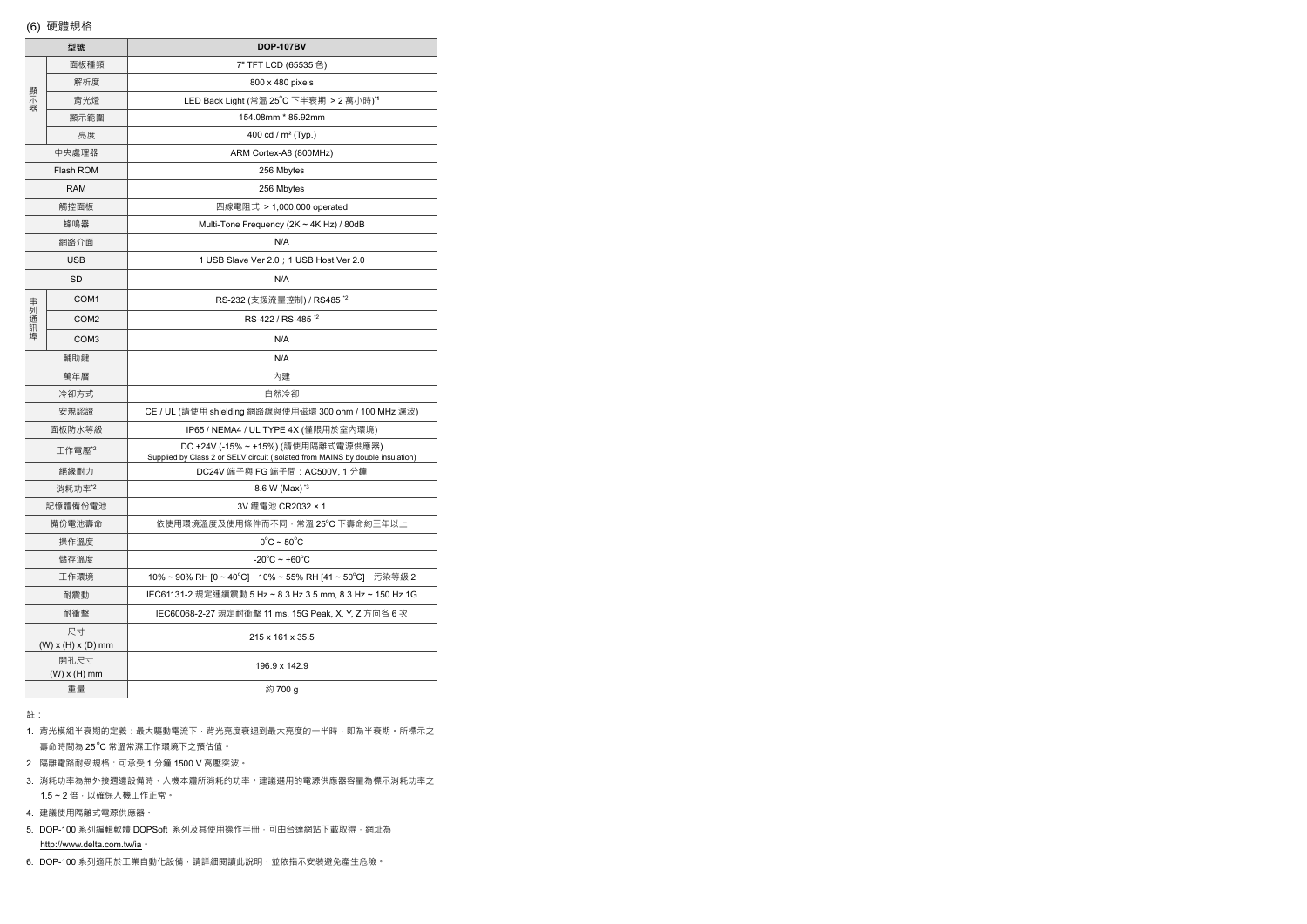|       | 型號                       | <b>DOP-107BV</b>                                                                                                      |  |  |  |
|-------|--------------------------|-----------------------------------------------------------------------------------------------------------------------|--|--|--|
|       | 面板種類                     | 7" TFT LCD (65535 色)                                                                                                  |  |  |  |
|       | 解析度                      | 800 x 480 pixels                                                                                                      |  |  |  |
| 顯示器   | 背光燈                      | LED Back Light (常溫 25°C 下半衰期 > 2 萬小時)*1                                                                               |  |  |  |
|       | 顯示範圍                     | 154.08mm * 85.92mm                                                                                                    |  |  |  |
|       | 亮度                       | 400 cd / m <sup>2</sup> (Typ.)                                                                                        |  |  |  |
|       | 中央處理器                    | ARM Cortex-A8 (800MHz)                                                                                                |  |  |  |
|       | Flash ROM                | 256 Mbytes                                                                                                            |  |  |  |
|       | <b>RAM</b>               | 256 Mbytes                                                                                                            |  |  |  |
|       | 觸控面板                     | 四線電阻式 > 1,000,000 operated                                                                                            |  |  |  |
|       | 蜂鳴器                      | Multi-Tone Frequency (2K ~ 4K Hz) / 80dB                                                                              |  |  |  |
|       | 網路介面                     | N/A                                                                                                                   |  |  |  |
|       | <b>USB</b>               | 1 USB Slave Ver 2.0 ; 1 USB Host Ver 2.0                                                                              |  |  |  |
|       | SD                       | N/A                                                                                                                   |  |  |  |
|       | COM <sub>1</sub>         | RS-232 (支援流量控制) / RS485 *2                                                                                            |  |  |  |
| 串列通訊埠 | COM <sub>2</sub>         | RS-422 / RS-485 <sup>*2</sup>                                                                                         |  |  |  |
|       | COM <sub>3</sub>         | N/A                                                                                                                   |  |  |  |
| 輔助鍵   |                          | N/A                                                                                                                   |  |  |  |
|       | 萬年曆                      | 內建                                                                                                                    |  |  |  |
|       | 冷卻方式                     | 自然冷卻                                                                                                                  |  |  |  |
|       | 安規認證                     | CE / UL (請使用 shielding 網路線與使用磁環 300 ohm / 100 MHz 濾波)                                                                 |  |  |  |
|       | 面板防水等級                   | IP65 / NEMA4 / UL TYPE 4X (僅限用於室內環境)                                                                                  |  |  |  |
|       | 工作電壓*2                   | DC +24V (-15% ~ +15%) (請使用隔離式電源供應器)<br>Supplied by Class 2 or SELV circuit (isolated from MAINS by double insulation) |  |  |  |
|       | 絕緣耐力                     | DC24V 端子與 FG 端子間: AC500V, 1 分鐘                                                                                        |  |  |  |
|       | 消耗功率"                    | 8.6 W (Max) <sup>*3</sup>                                                                                             |  |  |  |
|       | 記憶體備份電池                  | 3V 鋰電池 CR2032 × 1                                                                                                     |  |  |  |
|       | 備份雷池壽命                   | 依使用環境溫度及使用條件而不同,常溫 25°C 下壽命約三年以上                                                                                      |  |  |  |
|       | 操作溫度                     | $0^{\circ}$ C ~ 50 $^{\circ}$ C                                                                                       |  |  |  |
|       | 儲存溫度                     | $-20^{\circ}$ C ~ +60 $^{\circ}$ C                                                                                    |  |  |  |
|       | 工作環境                     | 10%~90% RH [0~40°C] · 10%~55% RH [41~50°C] · 污染等級 2                                                                   |  |  |  |
|       | 耐震動                      | IEC61131-2 規定連續震動 5 Hz ~ 8.3 Hz 3.5 mm, 8.3 Hz ~ 150 Hz 1G                                                            |  |  |  |
|       | 耐衝擊                      | IEC60068-2-27 規定耐衝擊 11 ms, 15G Peak, X, Y, Z 方向各 6 次                                                                  |  |  |  |
|       | 尺寸                       | 215 x 161 x 35.5                                                                                                      |  |  |  |
|       | $(W)$ x $(H)$ x $(D)$ mm |                                                                                                                       |  |  |  |
|       | 開孔尺寸<br>$(W)$ x $(H)$ mm | 196.9 x 142.9                                                                                                         |  |  |  |
|       | 重量                       | 約 700 g                                                                                                               |  |  |  |

註:

1. 背光模組半衰期的定義:最大驅動電流下 · 背光亮度衰退到最大亮度的一半時 · 即為半衰期 · 所標示之 壽命時間為 25  $^{\circ}$ C 常溫常濕工作環境下之預估值。

- 2. 隔離電路耐受規格:可承受 1 分鐘 1500 V 高壓突波。
- 3. 消耗功率為無外接週邊設備時,人機本體所消耗的功率。建議選用的電源供應器容量為標示消耗功率之 1.5~2 倍,以確保人機工作正常。
- 4. 建議使用隔離式電源供應器。
- 5.DOP-100 系列編輯軟體 DOPSoft 系列及其使用操作手冊,可由台達網站下載取得,網址為 http://www.delta.com.tw/ia。
- 6. DOP-100 系列適用於工業自動化設備,請詳細閱讀此說明,並依指示安裝避免產生危險。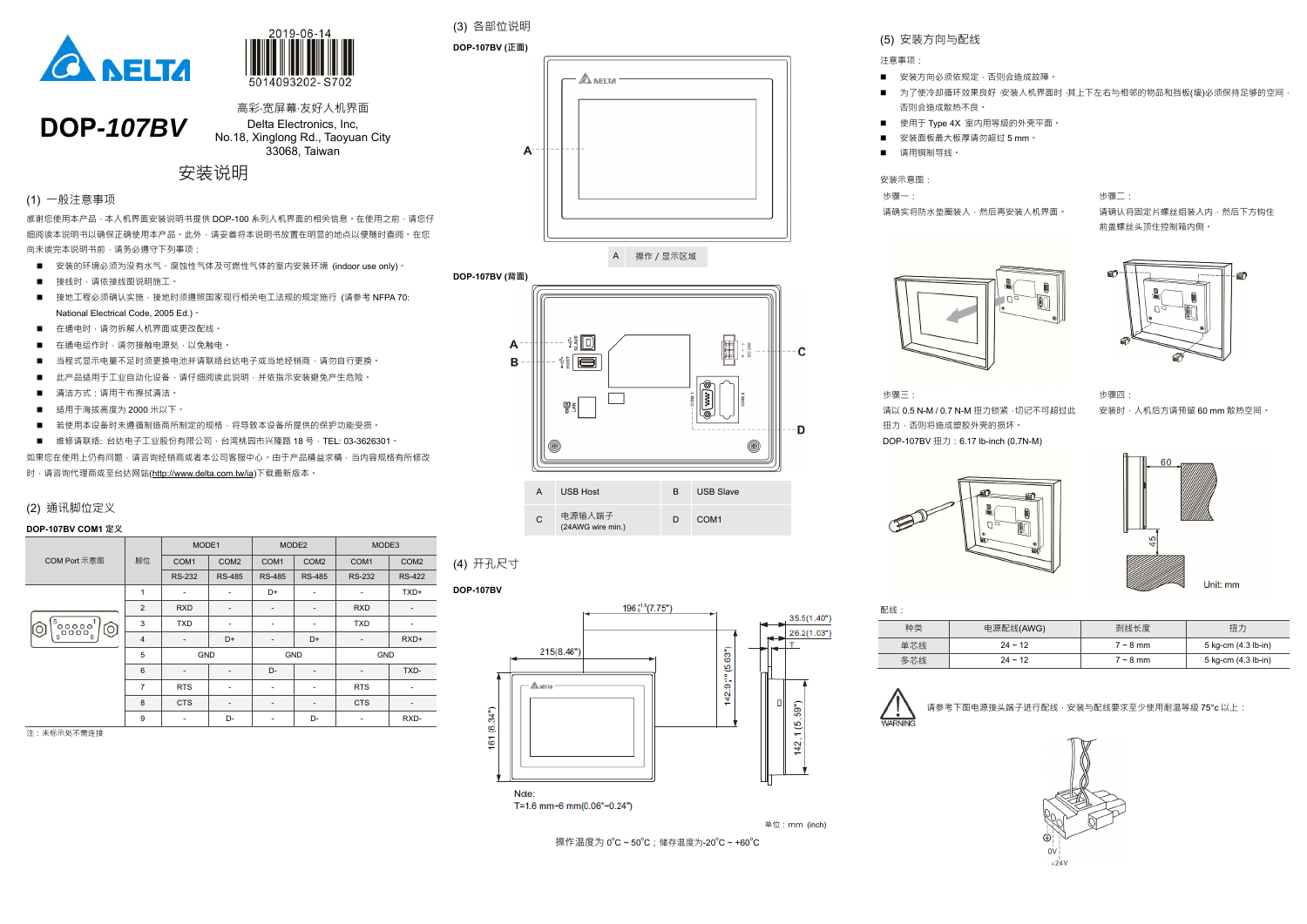



**DOP***-107BV*  高彩‧宽屏幕‧友好人机界面Delta Electronics, Inc, No.18, Xinglong Rd., Taoyuan City 33068, Taiwan

# 安装说明

#### (1) ⼀般注意事项

感谢您使用本产品 · 本人机界面安装说明书提供 DOP-100 系列人机界面的相关信息 · 在使用之前 · 请您仔 细阅读本说明书以确保正确使用本产品。此外,请妥善将本说明书放置在明显的地点以便随时查阅。在您 尚未读完本说明书前,请务必遵守下列事项:

- 安装的环境必须为没有水气、腐蚀性气体及可燃性气体的室内安装环境 (indoor use only)。
- 接线时﹐请依接线图说明施工。
- 接地工程必须确认实施 · 接地时须遵照国家现行相关电工法规的规定施行 (请参考 NFPA 70: National Electrical Code, 2005 Ed.)。
- 在通电时•请勿拆解人机界面或更改配线。
- $\blacksquare$ 在通电运作时,请勿接触电源处,以免触电。
- $\blacksquare$ 当程式显示电量不足时须更换电池并请联络台达电子或当地经销商,请勿自行更换。
- $\blacksquare$ ■ 此产品适用于工业自动化设备﹐请仔细阅读此说明﹐并依指示安装避免产生危险。
- 清洁方式 : 请用干布擦拭清洁。
- $\blacksquare$ ■ 适用于海拔高度为 2000 米以下。
- 若使用本设备时未遵循制造商所制定的规格 · 将导致本设备所提供的保护功能受损 ·
- 维修请联络: 台达电子工业股份有限公司 · 台湾桃园市兴隆路 18 号 · TEL: 03-3626301 ·

如果您在使用上仍有问题,请咨询经销商或者本公司客服中心。由于产品精益求精,当内容规格有所修改 时,请咨询代理商或至台达网站(http://www.delta.com.tw/ia)下载最新版本。

**DOP-107BV (正面) A NELTA**  $\mathsf{A}$ 

#### (2) 通讯脚位定义

#### **DOP-107BV COM1 定义**

|                                        |                | MODE1                    |                          | MODE <sub>2</sub>        |                  | MODE3                    |                  |
|----------------------------------------|----------------|--------------------------|--------------------------|--------------------------|------------------|--------------------------|------------------|
| <b>COM Port 示意图</b>                    | 脚位             | COM <sub>1</sub>         | COM <sub>2</sub>         | COM1                     | COM <sub>2</sub> | COM <sub>1</sub>         | COM <sub>2</sub> |
|                                        |                | <b>RS-232</b>            | <b>RS-485</b>            | <b>RS-485</b>            | <b>RS-485</b>    | <b>RS-232</b>            | <b>RS-422</b>    |
|                                        | 1              | $\overline{\phantom{a}}$ | $\overline{\phantom{a}}$ | D+                       | ۰                | $\overline{\phantom{a}}$ | TXD+             |
|                                        | $\overline{2}$ | <b>RXD</b>               | $\overline{\phantom{a}}$ | $\overline{\phantom{a}}$ |                  | <b>RXD</b>               | -                |
| $\frac{1}{6}$ 00000 $\frac{1}{6}$<br>Ő | 3              | <b>TXD</b>               | $\overline{\phantom{a}}$ | $\overline{\phantom{a}}$ |                  | <b>TXD</b>               | ۰                |
|                                        | $\overline{4}$ | $\overline{\phantom{a}}$ | D+                       | $\overline{\phantom{a}}$ | D+               | $\overline{\phantom{a}}$ | RXD+             |
|                                        | 5              | <b>GND</b>               |                          | GND                      |                  | GND                      |                  |
|                                        | $6\phantom{1}$ | $\overline{\phantom{a}}$ | $\overline{\phantom{a}}$ | $D -$                    |                  |                          | TXD-             |
|                                        | 7              | <b>RTS</b>               | $\overline{\phantom{a}}$ | ٠                        |                  | <b>RTS</b>               | ۰                |
|                                        | 8              | <b>CTS</b>               | $\overline{\phantom{a}}$ | $\overline{\phantom{a}}$ | -                | <b>CTS</b>               | -                |
|                                        | 9              | $\overline{\phantom{a}}$ | D-                       | $\overline{\phantom{a}}$ | D-               | ۰                        | RXD-             |

注:未标示处不需连接

(3) 各部位说明

A 操作/显示区域

**DOP-107BV (背面)** 



|              | クワンク トマン<br>$1 + 1$ |                     |
|--------------|---------------------|---------------------|
| $24 \sim 12$ | $7 \sim 8$ mm       | 5 kg-cm (4.3 lb-in) |
| $24 \sim 12$ | $7 \sim 8$ mm       | 5 kg-cm (4.3 lb-in) |
|              |                     |                     |







<sup>C</sup>电源输入端子 (24AWG wire min.)

D COM1

(4) 开孔尺寸

**DOP-107BV** 



T=1.6 mm~6 mm(0.06"~0.24")

单位:mm (inch)

操作温度为 0℃~50℃;储存温度为-20℃~+60℃



(5) 安装方向与配线 注意事项:

- 安装方向必须依规定﹐否则会造成故障﹐
- $\blacksquare$ 否则会造成散热不良。
- $\blacksquare$ ■ 使用于 Type 4X 室内用等级的外壳平面。
- $\blacksquare$ ■■ 请用铜制导线。

安装示意图:

步骤一:

请确实将防水垫圈装入,然后再安装人机界面。





步骤二:请确认将固定片螺丝组装入内,然后下方钩住 前盖螺丝头顶住控制箱内侧。

■ 安装面板最大板厚请勿超过 5 mm。

为了使冷却循环效果良好,安装人机界面时,其上下左右与相邻的物品和挡板(墙)必须保持足够的空间

步骤三:请以 0.5 N-M / 0.7 N-M 扭力锁紧 ·切记不可超过此 扭力﹐否则将造成塑胶外壳的损坏。 DOP-107BV 扭力:6.17 lb-inch (0.7N-M)







Unit: mm

| 配线: |              |               |                     |
|-----|--------------|---------------|---------------------|
| 种类  | 电源配线(AWG)    | 剥线长度          | 扭力                  |
| 单芯线 | $24 \sim 12$ | $7 \sim 8$ mm | 5 kg-cm (4.3 lb-in) |
| 多芯线 | $24 \sim 12$ | $7 \sim 8$ mm | 5 kg-cm (4.3 lb-in) |

| $\sum_{\text{WARTNING}}$<br>请参考下图电源接头端子进行配线 · 安装与配线要求至少使用耐温等级 75°c 以上: |  |
|------------------------------------------------------------------------|--|
|------------------------------------------------------------------------|--|